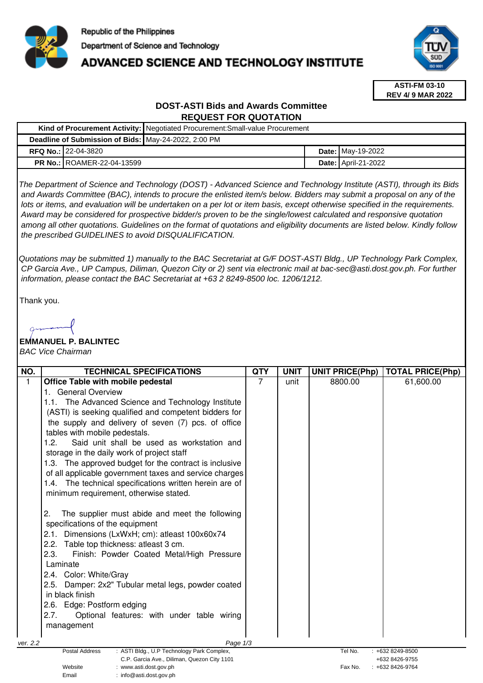

# **ADVANCED SCIENCE AND TECHNOLOGY INSTITUTE**



**ASTI-FM 03-10 REV 4/ 9 MAR 2022**

## **DOST-ASTI Bids and Awards Committee REQUEST FOR QUOTATION**

|                                                      |                                   | Kind of Procurement Activity: Negotiated Procurement: Small-value Procurement |  |                            |  |  |
|------------------------------------------------------|-----------------------------------|-------------------------------------------------------------------------------|--|----------------------------|--|--|
| Deadline of Submission of Bids: May-24-2022, 2:00 PM |                                   |                                                                               |  |                            |  |  |
|                                                      | <b>RFQ No.: 22-04-3820</b>        |                                                                               |  | <b>Date:</b> May-19-2022   |  |  |
|                                                      | <b>PR No.: ROAMER-22-04-13599</b> |                                                                               |  | <b>Date: April-21-2022</b> |  |  |

The Department of Science and Technology (DOST) - Advanced Science and Technology Institute (ASTI), through its Bids and Awards Committee (BAC), intends to procure the enlisted item/s below. Bidders may submit a proposal on any of the lots or items, and evaluation will be undertaken on a per lot or item basis, except otherwise specified in the requirements. Award may be considered for prospective bidder/s proven to be the single/lowest calculated and responsive quotation among all other quotations. Guidelines on the format of quotations and eligibility documents are listed below. Kindly follow the prescribed GUIDELINES to avoid DISQUALIFICATION.

Quotations may be submitted 1) manually to the BAC Secretariat at G/F DOST-ASTI Bldg., UP Technology Park Complex, CP Garcia Ave., UP Campus, Diliman, Quezon City or 2) sent via electronic mail at bac-sec@asti.dost.gov.ph. For further information, please contact the BAC Secretariat at +63 2 8249-8500 loc. 1206/1212.

Thank you.

## **EMMANUEL P. BALINTEC**

Email : info@asti.dost.gov.ph

BAC Vice Chairman

| NO.          | <b>TECHNICAL SPECIFICATIONS</b>                                                 | <b>QTY</b> | <b>UNIT</b> | <b>UNIT PRICE(Php)</b> | <b>TOTAL PRICE(Php)</b> |
|--------------|---------------------------------------------------------------------------------|------------|-------------|------------------------|-------------------------|
| $\mathbf{1}$ | Office Table with mobile pedestal                                               | 7          | unit        | 8800.00                | 61,600.00               |
|              | <b>General Overview</b>                                                         |            |             |                        |                         |
|              | 1.1. The Advanced Science and Technology Institute                              |            |             |                        |                         |
|              | (ASTI) is seeking qualified and competent bidders for                           |            |             |                        |                         |
|              | the supply and delivery of seven (7) pcs. of office                             |            |             |                        |                         |
|              | tables with mobile pedestals.                                                   |            |             |                        |                         |
|              | Said unit shall be used as workstation and<br>1.2.                              |            |             |                        |                         |
|              | storage in the daily work of project staff                                      |            |             |                        |                         |
|              | 1.3. The approved budget for the contract is inclusive                          |            |             |                        |                         |
|              | of all applicable government taxes and service charges                          |            |             |                        |                         |
|              | 1.4. The technical specifications written herein are of                         |            |             |                        |                         |
|              | minimum requirement, otherwise stated.                                          |            |             |                        |                         |
|              |                                                                                 |            |             |                        |                         |
|              | The supplier must abide and meet the following<br>2.                            |            |             |                        |                         |
|              | specifications of the equipment                                                 |            |             |                        |                         |
|              | 2.1. Dimensions (LxWxH; cm): atleast 100x60x74                                  |            |             |                        |                         |
|              | 2.2. Table top thickness: atleast 3 cm.                                         |            |             |                        |                         |
|              | 2.3.<br>Finish: Powder Coated Metal/High Pressure                               |            |             |                        |                         |
|              | Laminate                                                                        |            |             |                        |                         |
|              | 2.4. Color: White/Gray                                                          |            |             |                        |                         |
|              | 2.5. Damper: 2x2" Tubular metal legs, powder coated                             |            |             |                        |                         |
|              | in black finish                                                                 |            |             |                        |                         |
|              | 2.6. Edge: Postform edging                                                      |            |             |                        |                         |
|              | 2.7.<br>Optional features: with under table wiring                              |            |             |                        |                         |
|              | management                                                                      |            |             |                        |                         |
|              |                                                                                 |            |             |                        |                         |
| ver. 2.2     | Page 1/3<br><b>Postal Address</b><br>: ASTI Bldg., U.P Technology Park Complex, |            |             | Tel No.                | +632 8249-8500          |
|              | C.P. Garcia Ave., Diliman, Quezon City 1101                                     |            |             |                        | +632 8426-9755          |
|              | Website<br>: www.asti.dost.gov.ph                                               |            |             | Fax No.                | +632 8426-9764          |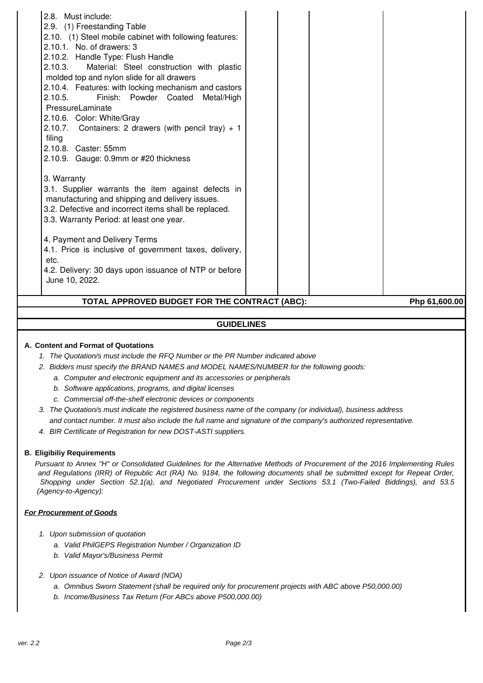| 2.8. Must include:<br>2.9. (1) Freestanding Table<br>2.10. (1) Steel mobile cabinet with following features:<br>2.10.1. No. of drawers: 3<br>2.10.2. Handle Type: Flush Handle<br>2.10.3.<br>Material: Steel construction with plastic<br>molded top and nylon slide for all drawers<br>2.10.4. Features: with locking mechanism and castors<br>2.10.5.<br>Finish: Powder Coated<br>Metal/High<br>PressureLaminate<br>2.10.6. Color: White/Gray<br>2.10.7. Containers: 2 drawers (with pencil tray) $+1$<br>filing<br>2.10.8. Caster: 55mm |  |               |
|--------------------------------------------------------------------------------------------------------------------------------------------------------------------------------------------------------------------------------------------------------------------------------------------------------------------------------------------------------------------------------------------------------------------------------------------------------------------------------------------------------------------------------------------|--|---------------|
| 2.10.9. Gauge: 0.9mm or #20 thickness<br>3. Warranty<br>3.1. Supplier warrants the item against defects in<br>manufacturing and shipping and delivery issues.<br>3.2. Defective and incorrect items shall be replaced.<br>3.3. Warranty Period: at least one year.<br>4. Payment and Delivery Terms<br>4.1. Price is inclusive of government taxes, delivery,<br>etc.<br>4.2. Delivery: 30 days upon issuance of NTP or before<br>June 10, 2022.<br>TOTAL APPROVED BUDGET FOR THE CONTRACT (ABC):                                          |  | Php 61,600.00 |

### **GUIDELINES**

#### **A. Content and Format of Quotations**

- 1. The Quotation/s must include the RFQ Number or the PR Number indicated above
- 2. Bidders must specify the BRAND NAMES and MODEL NAMES/NUMBER for the following goods:
	- a. Computer and electronic equipment and its accessories or peripherals
	- b. Software applications, programs, and digital licenses
	- c. Commercial off-the-shelf electronic devices or components
- 3. The Quotation/s must indicate the registered business name of the company (or individual), business address and contact number. It must also include the full name and signature of the company's authorized representative.
- 4. BIR Certificate of Registration for new DOST-ASTI suppliers.

#### **B. Eligibiliy Requirements**

Pursuant to Annex "H" or Consolidated Guidelines for the Alternative Methods of Procurement of the 2016 Implementing Rules and Regulations (IRR) of Republic Act (RA) No. 9184, the following documents shall be submitted except for Repeat Order, Shopping under Section 52.1(a), and Negotiated Procurement under Sections 53.1 (Two-Failed Biddings), and 53.5 (Agency-to-Agency):

#### **For Procurement of Goods**

- 1. Upon submission of quotation
	- a. Valid PhilGEPS Registration Number / Organization ID
	- b. Valid Mayor's/Business Permit
- 2. Upon issuance of Notice of Award (NOA)
	- a. Omnibus Sworn Statement (shall be required only for procurement projects with ABC above P50,000.00)
	- b. Income/Business Tax Return (For ABCs above P500,000.00)